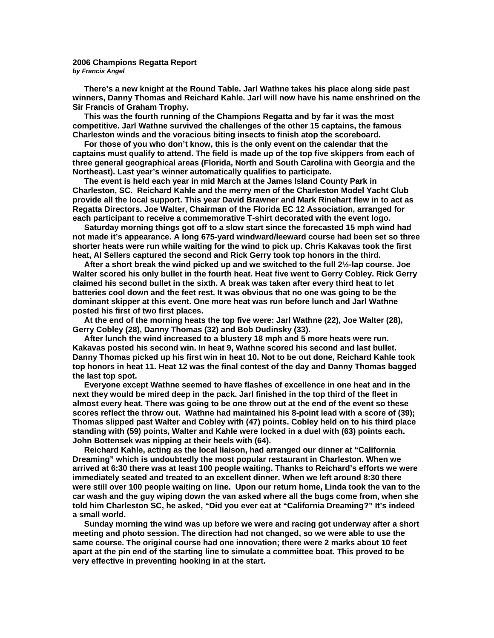## **2006 Champions Regatta Report**  *by Francis Angel*

**There's a new knight at the Round Table. Jarl Wathne takes his place along side past winners, Danny Thomas and Reichard Kahle. Jarl will now have his name enshrined on the Sir Francis of Graham Trophy.** 

 **This was the fourth running of the Champions Regatta and by far it was the most competitive. Jarl Wathne survived the challenges of the other 15 captains, the famous Charleston winds and the voracious biting insects to finish atop the scoreboard.** 

 **For those of you who don't know, this is the only event on the calendar that the captains must qualify to attend. The field is made up of the top five skippers from each of three general geographical areas (Florida, North and South Carolina with Georgia and the Northeast). Last year's winner automatically qualifies to participate.** 

 **The event is held each year in mid March at the James Island County Park in Charleston, SC. Reichard Kahle and the merry men of the Charleston Model Yacht Club provide all the local support. This year David Brawner and Mark Rinehart flew in to act as Regatta Directors. Joe Walter, Chairman of the Florida EC 12 Association, arranged for each participant to receive a commemorative T-shirt decorated with the event logo.** 

 **Saturday morning things got off to a slow start since the forecasted 15 mph wind had not made it's appearance. A long 675-yard windward/leeward course had been set so three shorter heats were run while waiting for the wind to pick up. Chris Kakavas took the first heat, Al Sellers captured the second and Rick Gerry took top honors in the third.** 

 **After a short break the wind picked up and we switched to the full 2½-lap course. Joe Walter scored his only bullet in the fourth heat. Heat five went to Gerry Cobley. Rick Gerry claimed his second bullet in the sixth. A break was taken after every third heat to let batteries cool down and the feet rest. It was obvious that no one was going to be the dominant skipper at this event. One more heat was run before lunch and Jarl Wathne posted his first of two first places.** 

 **At the end of the morning heats the top five were: Jarl Wathne (22), Joe Walter (28), Gerry Cobley (28), Danny Thomas (32) and Bob Dudinsky (33).** 

 **After lunch the wind increased to a blustery 18 mph and 5 more heats were run. Kakavas posted his second win. In heat 9, Wathne scored his second and last bullet. Danny Thomas picked up his first win in heat 10. Not to be out done, Reichard Kahle took top honors in heat 11. Heat 12 was the final contest of the day and Danny Thomas bagged the last top spot.** 

 **Everyone except Wathne seemed to have flashes of excellence in one heat and in the next they would be mired deep in the pack. Jarl finished in the top third of the fleet in almost every heat. There was going to be one throw out at the end of the event so these scores reflect the throw out. Wathne had maintained his 8-point lead with a score of (39); Thomas slipped past Walter and Cobley with (47) points. Cobley held on to his third place standing with (59) points, Walter and Kahle were locked in a duel with (63) points each. John Bottensek was nipping at their heels with (64).** 

 **Reichard Kahle, acting as the local liaison, had arranged our dinner at "California Dreaming" which is undoubtedly the most popular restaurant in Charleston. When we arrived at 6:30 there was at least 100 people waiting. Thanks to Reichard's efforts we were immediately seated and treated to an excellent dinner. When we left around 8:30 there were still over 100 people waiting on line. Upon our return home, Linda took the van to the car wash and the guy wiping down the van asked where all the bugs come from, when she told him Charleston SC, he asked, "Did you ever eat at "California Dreaming?" It's indeed a small world.** 

 **Sunday morning the wind was up before we were and racing got underway after a short meeting and photo session. The direction had not changed, so we were able to use the same course. The original course had one innovation; there were 2 marks about 10 feet apart at the pin end of the starting line to simulate a committee boat. This proved to be very effective in preventing hooking in at the start.**